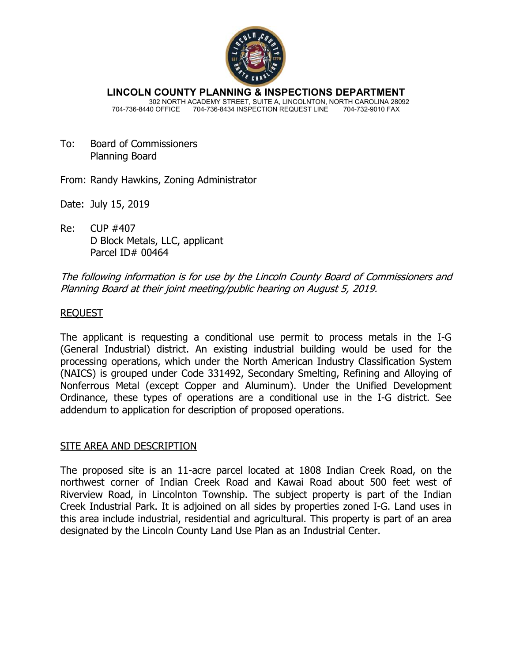

**LINCOLN COUNTY PLANNING & INSPECTIONS DEPARTMENT** 302 NORTH ACADEMY STREET, SUITE A, LINCOLNTON, NORTH CAROLINA 28092 704-736-8440 OFFICE 704-736-8434 INSPECTION REQUEST LINE 704-732-9010 FAX

- To: Board of Commissioners Planning Board
- From: Randy Hawkins, Zoning Administrator
- Date: July 15, 2019
- Re: CUP #407 D Block Metals, LLC, applicant Parcel ID# 00464

# The following information is for use by the Lincoln County Board of Commissioners and Planning Board at their joint meeting/public hearing on August 5, 2019.

# REQUEST

The applicant is requesting a conditional use permit to process metals in the I-G (General Industrial) district. An existing industrial building would be used for the processing operations, which under the North American Industry Classification System (NAICS) is grouped under Code 331492, Secondary Smelting, Refining and Alloying of Nonferrous Metal (except Copper and Aluminum). Under the Unified Development Ordinance, these types of operations are a conditional use in the I-G district. See addendum to application for description of proposed operations.

### SITE AREA AND DESCRIPTION

The proposed site is an 11-acre parcel located at 1808 Indian Creek Road, on the northwest corner of Indian Creek Road and Kawai Road about 500 feet west of Riverview Road, in Lincolnton Township. The subject property is part of the Indian Creek Industrial Park. It is adjoined on all sides by properties zoned I-G. Land uses in this area include industrial, residential and agricultural. This property is part of an area designated by the Lincoln County Land Use Plan as an Industrial Center.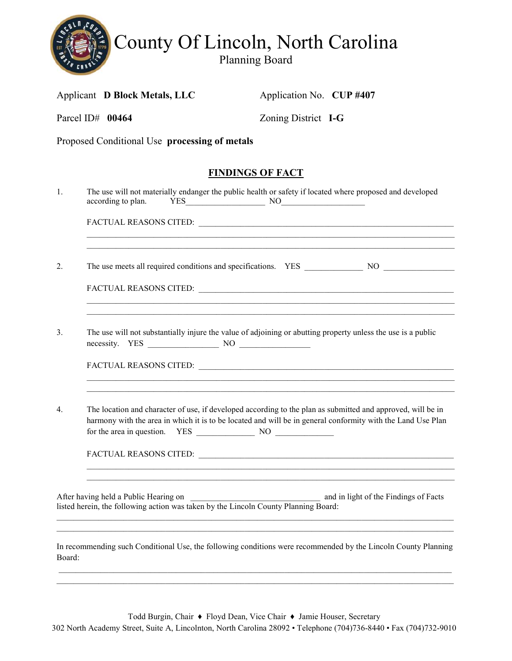

Applicant **D Block Metals, LLC** Application No. **CUP #407** 

| Parcel ID# 00464 | Zoning District I-G                                                                                                                                                                                                        |  |
|------------------|----------------------------------------------------------------------------------------------------------------------------------------------------------------------------------------------------------------------------|--|
|                  | Proposed Conditional Use processing of metals                                                                                                                                                                              |  |
|                  | <b>FINDINGS OF FACT</b>                                                                                                                                                                                                    |  |
| 1.               | The use will not materially endanger the public health or safety if located where proposed and developed                                                                                                                   |  |
|                  |                                                                                                                                                                                                                            |  |
| 2.               |                                                                                                                                                                                                                            |  |
|                  |                                                                                                                                                                                                                            |  |
| 3 <sub>1</sub>   | The use will not substantially injure the value of adjoining or abutting property unless the use is a public<br>necessity. YES NO NO                                                                                       |  |
| $\overline{4}$ . | The location and character of use, if developed according to the plan as submitted and approved, will be in<br>harmony with the area in which it is to be located and will be in general conformity with the Land Use Plan |  |
|                  | and in light of the Findings of Facts<br>After having held a Public Hearing on<br>listed herein, the following action was taken by the Lincoln County Planning Board:                                                      |  |
| Board:           | In recommending such Conditional Use, the following conditions were recommended by the Lincoln County Planning                                                                                                             |  |

\_\_\_\_\_\_\_\_\_\_\_\_\_\_\_\_\_\_\_\_\_\_\_\_\_\_\_\_\_\_\_\_\_\_\_\_\_\_\_\_\_\_\_\_\_\_\_\_\_\_\_\_\_\_\_\_\_\_\_\_\_\_\_\_\_\_\_\_\_\_\_\_\_\_\_\_\_\_\_\_\_\_\_\_\_\_\_\_\_\_\_\_\_\_\_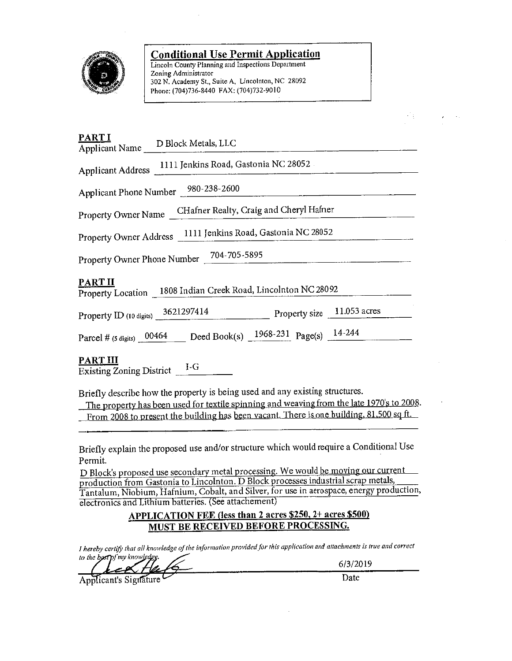

#### **Conditional Use Permit Application**

Lincoln County Planning and Inspections Department Zoning Administrator 302 N. Academy St., Suite A, Lincolnton, NC 28092 Phone: (704)736-8440 FAX: (704)732-9010

| <b>PARTI</b><br>Applicant Name D Block Metals, LLC                                                                                                                                                                                                                   |
|----------------------------------------------------------------------------------------------------------------------------------------------------------------------------------------------------------------------------------------------------------------------|
| Applicant Address 1111 Jenkins Road, Gastonia NC 28052.                                                                                                                                                                                                              |
| Applicant Phone Number 980-238-2600                                                                                                                                                                                                                                  |
| CHafner Realty, Craig and Cheryl Hafner<br>Property Owner Name                                                                                                                                                                                                       |
| Property Owner Address 1111 Jenkins Road, Gastonia NC 28052                                                                                                                                                                                                          |
| Property Owner Phone Number 704-705-5895                                                                                                                                                                                                                             |
| <b>PART II</b><br>Property Location 1808 Indian Creek Road, Lincolnton NC 28092                                                                                                                                                                                      |
| Property size 11.053 acres<br>Property ID (10 digits) 3621297414                                                                                                                                                                                                     |
| Parcel # (5 digits) $0.0464$ Deed Book(s) $1968-231$ Page(s) $14-244$                                                                                                                                                                                                |
| PART III<br>Existing Zoning District $I-G$                                                                                                                                                                                                                           |
| Briefly describe how the property is being used and any existing structures.<br>The property has been used for textile spinning and weaving from the late 1970's to 2008.<br>From 2008 to present the building has been vacant. There is one building, 81,500 sq ft. |

Briefly explain the proposed use and/or structure which would require a Conditional Use Permit.

D Block's proposed use secondary metal processing. We would be moving our current production from Gastonia to Lincolnton. D Block processes industrial scrap metals, Tantalum, Niobium, Hafnium, Cobalt, and Silver, for use in aerospace, energy production, electronics and Lithium batteries. (See attachement)

# APPLICATION FEE (less than 2 acres \$250, 2+ acres \$500) **MUST BE RECEIVED BEFORE PROCESSING.**

I hereby certify that all knowledge of the information provided for this application and attachments is true and correct to the box(p) my knowledge.

Applicant's Signature

6/3/2019

Date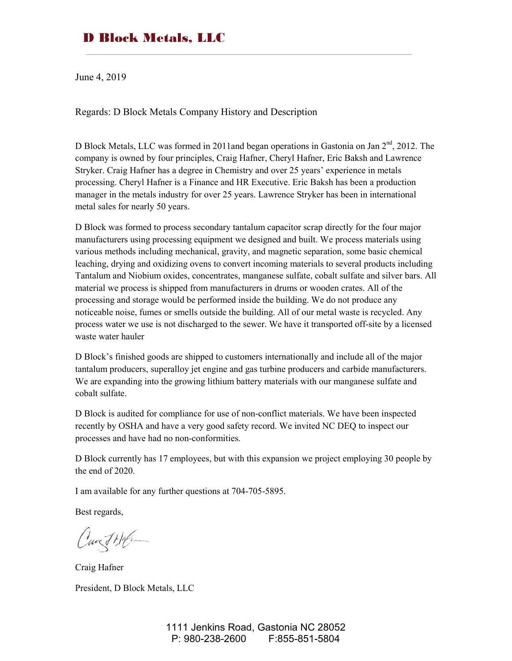# D Block Metals, LLC

June 4, 2019

Regards: D Block Metals Company History and Description

D Block Metals, LLC was formed in 2011and began operations in Gastonia on Jan  $2<sup>nd</sup>$ , 2012. The company is owned by four principles, Craig Hafner, Cheryl Hafner, Eric Baksh and Lawrence Stryker. Craig Hafner has a degree in Chemistry and over 25 years' experience in metals processing. Cheryl Hafner is a Finance and HR Executive. Eric Baksh has been a production manager in the metals industry for over 25 years. Lawrence Stryker has been in international metal sales for nearly 50 years.

D Block was formed to process secondary tantalum capacitor scrap directly for the four major manufacturers using processing equipment we designed and built. We process materials using various methods including mechanical, gravity, and magnetic separation, some basic chemical leaching, drying and oxidizing ovens to convert incoming materials to several products including Tantalum and Niobium oxides, concentrates, manganese sulfate, cobalt sulfate and silver bars. All material we process is shipped from manufacturers in drums or wooden crates. All of the processing and storage would be performed inside the building. We do not produce any noticeable noise, fumes or smells outside the building. All of our metal waste is recycled. Any process water we use is not discharged to the sewer. We have it transported off-site by a licensed waste water hauler

D Block's finished goods are shipped to customers internationally and include all of the major tantalum producers, superalloy jet engine and gas turbine producers and carbide manufacturers. We are expanding into the growing lithium battery materials with our manganese sulfate and cobalt sulfate.

D Block is audited for compliance for use of non-conflict materials. We have been inspected recently by OSHA and have a very good safety record. We invited NC DEQ to inspect our processes and have had no non-conformities.

D Block currently has 17 employees, but with this expansion we project employing 30 people by the end of 2020.

I am available for any further questions at 704-705-5895.

Best regards,

Cant Hof

Craig Hafner President, D Block Metals, LLC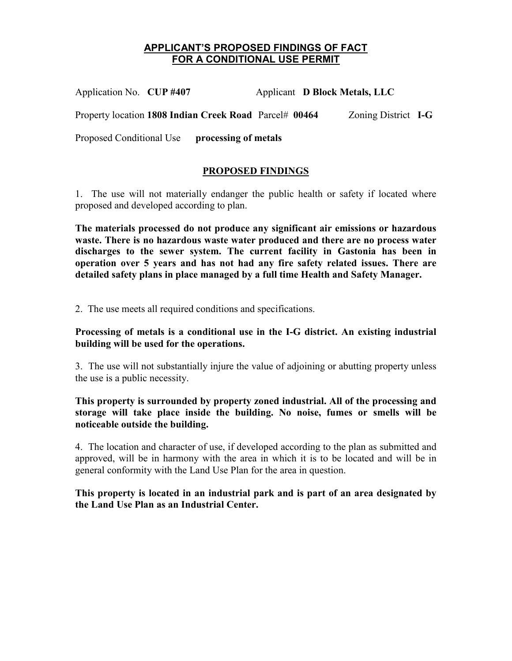## **APPLICANT'S PROPOSED FINDINGS OF FACT FOR A CONDITIONAL USE PERMIT**

Application No. **CUP #407** Applicant **D Block Metals, LLC**  Property location **1808 Indian Creek Road** Parcel# **00464** Zoning District **I-G** Proposed Conditional Use **processing of metals**

#### **PROPOSED FINDINGS**

1. The use will not materially endanger the public health or safety if located where proposed and developed according to plan.

**The materials processed do not produce any significant air emissions or hazardous waste. There is no hazardous waste water produced and there are no process water discharges to the sewer system. The current facility in Gastonia has been in operation over 5 years and has not had any fire safety related issues. There are detailed safety plans in place managed by a full time Health and Safety Manager.** 

2. The use meets all required conditions and specifications.

#### **Processing of metals is a conditional use in the I-G district. An existing industrial building will be used for the operations.**

3. The use will not substantially injure the value of adjoining or abutting property unless the use is a public necessity.

#### **This property is surrounded by property zoned industrial. All of the processing and storage will take place inside the building. No noise, fumes or smells will be noticeable outside the building.**

4. The location and character of use, if developed according to the plan as submitted and approved, will be in harmony with the area in which it is to be located and will be in general conformity with the Land Use Plan for the area in question.

#### **This property is located in an industrial park and is part of an area designated by the Land Use Plan as an Industrial Center.**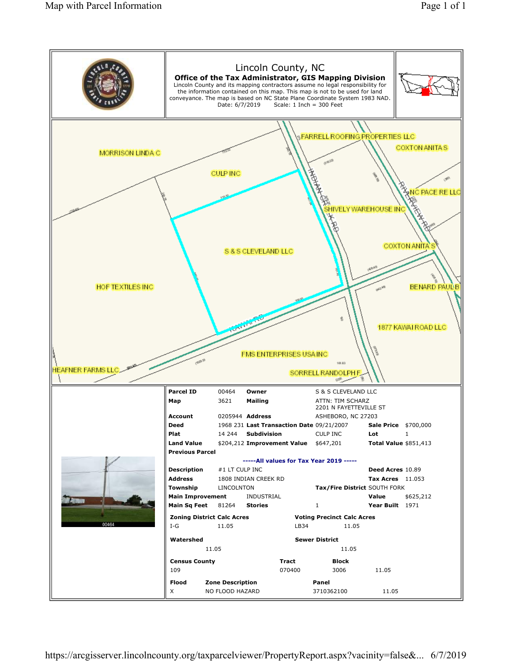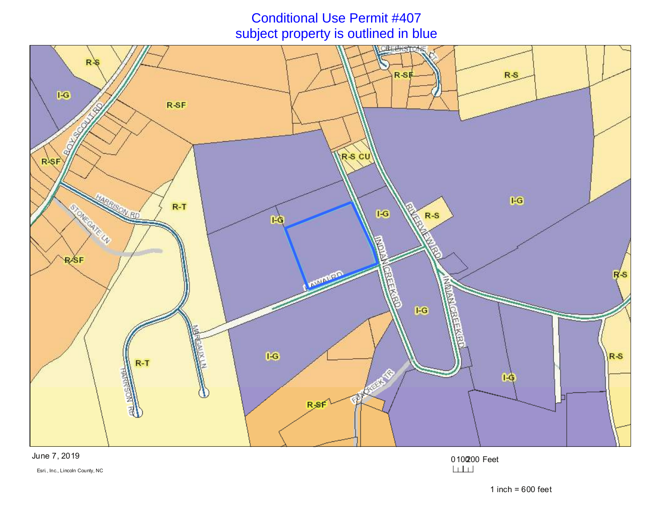# Conditional Use Permit #407subject property is outlined in blue



June 7, 2019

0100200 Feet

Esri., Inc., Lincoln County, NC